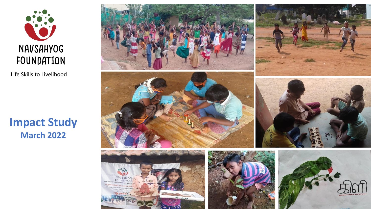

Life Skills to Livelihood

# **Impact Study March 2022**













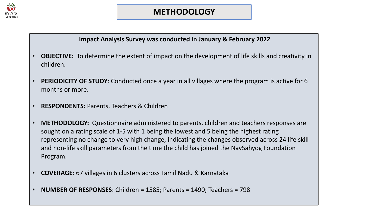

#### **Impact Analysis Survey was conducted in January & February 2022**

- **OBJECTIVE:** To determine the extent of impact on the development of life skills and creativity in children.
- **PERIODICITY OF STUDY**: Conducted once a year in all villages where the program is active for 6 months or more.
- **RESPONDENTS:** Parents, Teachers & Children
- **METHODOLOGY:** Questionnaire administered to parents, children and teachers responses are sought on a rating scale of 1-5 with 1 being the lowest and 5 being the highest rating representing no change to very high change, indicating the changes observed across 24 life skill and non-life skill parameters from the time the child has joined the NavSahyog Foundation Program.
- **COVERAGE**: 67 villages in 6 clusters across Tamil Nadu & Karnataka
- **NUMBER OF RESPONSES**: Children = 1585; Parents = 1490; Teachers = 798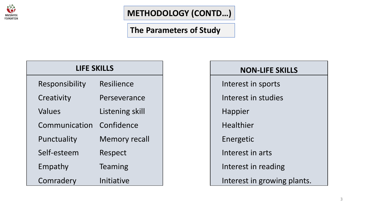

## **METHODOLOGY (CONTD…)**

### **The Parameters of Study**

| <b>LIFE SKILLS</b> |                      |
|--------------------|----------------------|
| Responsibility     | Resilience           |
| Creativity         | Perseverance         |
| Values             | Listening skill      |
| Communication      | Confidence           |
| Punctuality        | <b>Memory recall</b> |
| Self-esteem        | Respect              |
| Empathy            | Teaming              |
| Comradery          | Initiative           |

| <b>NON-LIFE SKILLS</b>      |  |
|-----------------------------|--|
| Interest in sports          |  |
| Interest in studies         |  |
| <b>Happier</b>              |  |
| <b>Healthier</b>            |  |
| Energetic                   |  |
| Interest in arts            |  |
| Interest in reading         |  |
| Interest in growing plants. |  |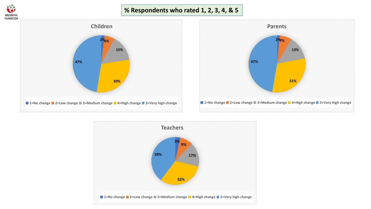

#### **% Respondents who rated 1, 2, 3, 4, & 5**





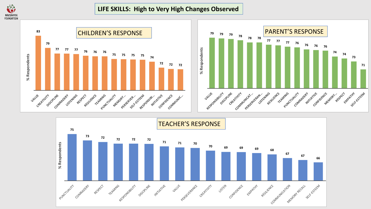**O** NAVSAHYOG<br>FOUNDATION

#### **LIFE SKILLS: High to Very High Changes Observed**





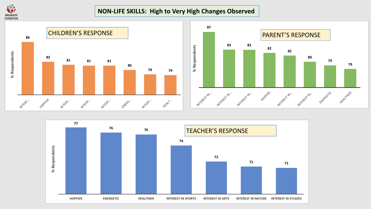Ö NAVSAHYOG FOUNDATION

#### **NON-LIFE SKILLS: High to Very High Changes Observed**





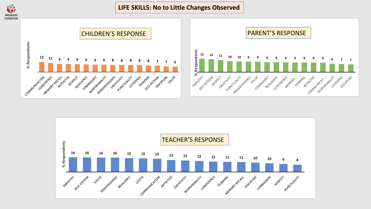**O** NAVSAHYOG FOUNDATION

#### **LIFE SKILLS: No to Little Changes Observed**



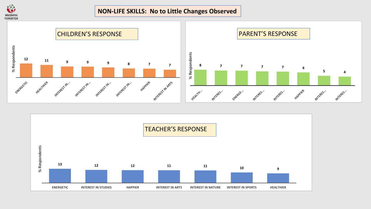**O** NAVSAHYOG FOUNDATION

#### **NON-LIFE SKILLS: No to Little Changes Observed**



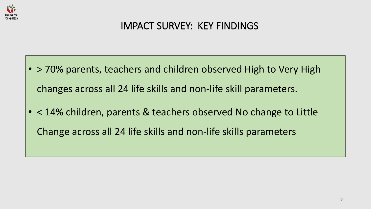

# IMPACT SURVEY: KEY FINDINGS

- > 70% parents, teachers and children observed High to Very High changes across all 24 life skills and non-life skill parameters.
- < 14% children, parents & teachers observed No change to Little Change across all 24 life skills and non-life skills parameters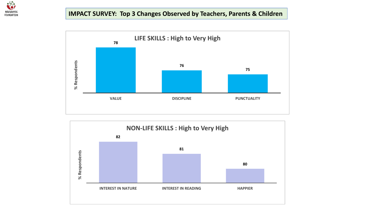

#### **IMPACT SURVEY: Top 3 Changes Observed by Teachers, Parents & Children**